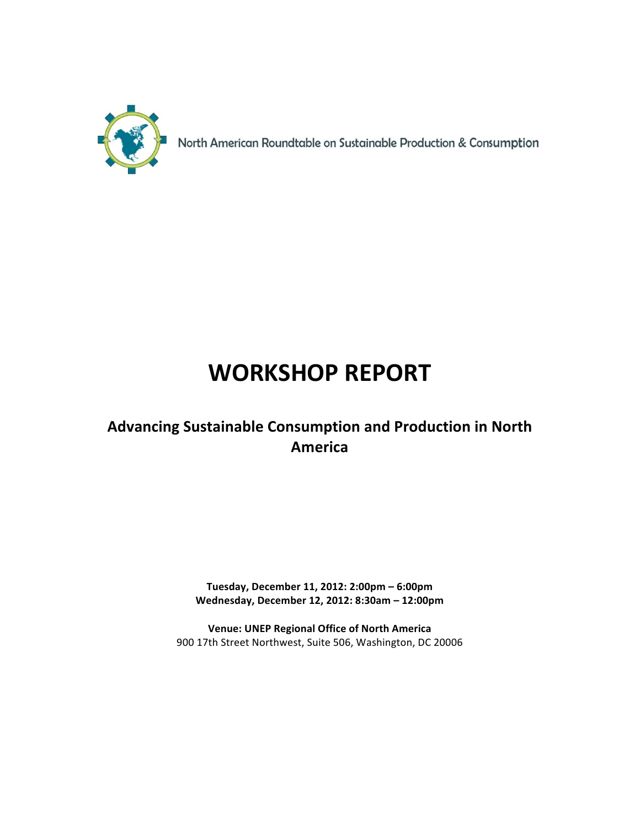

North American Roundtable on Sustainable Production & Consumption

# **WORKSHOP REPORT**

## **Advancing Sustainable Consumption and Production in North America**

**Tuesday, December 11, 2012: 2:00pm – 6:00pm** Wednesday, December 12, 2012: 8:30am - 12:00pm

**Venue: UNEP Regional Office of North America** 900 17th Street Northwest, Suite 506, Washington, DC 20006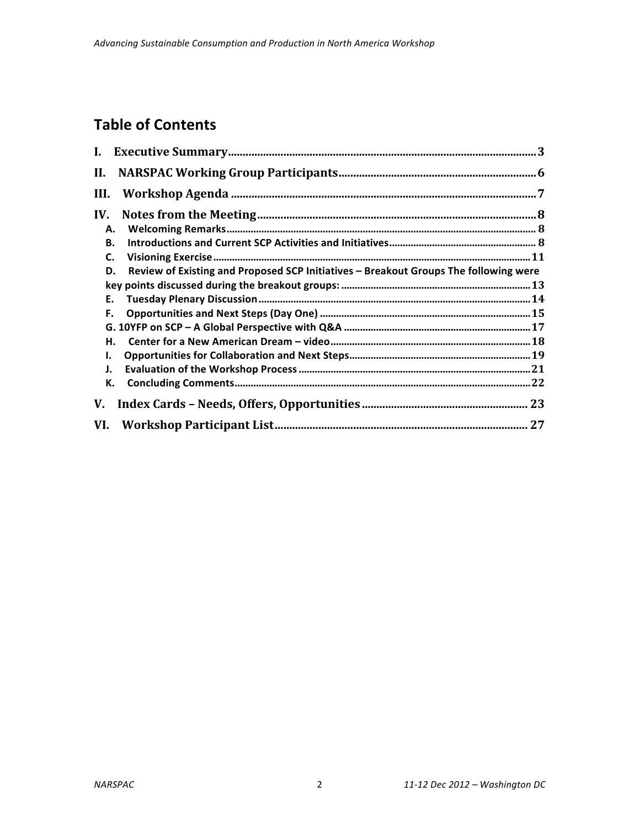## **Table of Contents**

| II.  |                                                                                      |
|------|--------------------------------------------------------------------------------------|
| III. |                                                                                      |
| IV.  |                                                                                      |
| А.   |                                                                                      |
| В.   |                                                                                      |
| C.   |                                                                                      |
| D.   | Review of Existing and Proposed SCP Initiatives - Breakout Groups The following were |
|      |                                                                                      |
| Е.   |                                                                                      |
| F.   |                                                                                      |
|      |                                                                                      |
| н.   |                                                                                      |
| ı.   |                                                                                      |
| J.   |                                                                                      |
| К.   |                                                                                      |
| V.   |                                                                                      |
| VI.  |                                                                                      |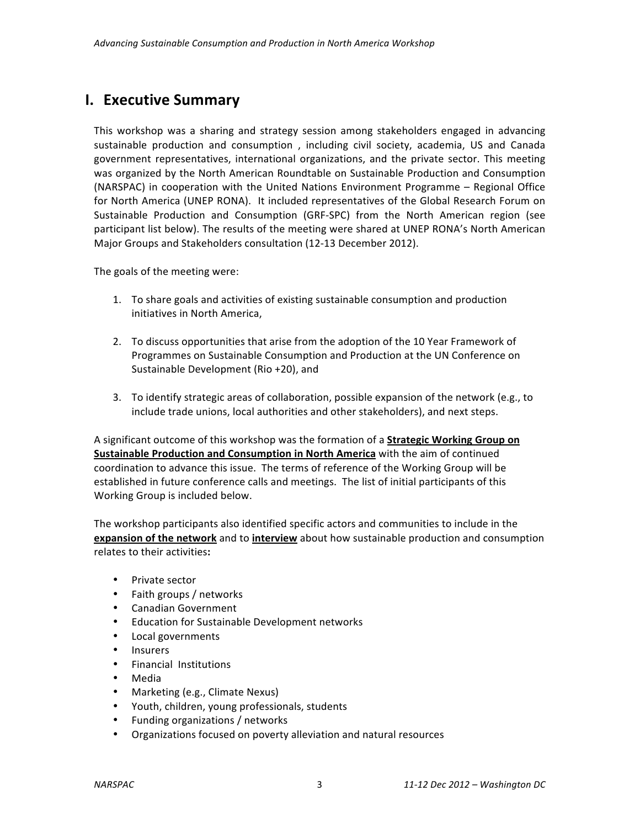## **I. Executive Summary**

This workshop was a sharing and strategy session among stakeholders engaged in advancing sustainable production and consumption, including civil society, academia, US and Canada government representatives, international organizations, and the private sector. This meeting was organized by the North American Roundtable on Sustainable Production and Consumption (NARSPAC) in cooperation with the United Nations Environment Programme  $-$  Regional Office for North America (UNEP RONA). It included representatives of the Global Research Forum on Sustainable Production and Consumption (GRF-SPC) from the North American region (see participant list below). The results of the meeting were shared at UNEP RONA's North American Major Groups and Stakeholders consultation (12-13 December 2012).

The goals of the meeting were:

- 1. To share goals and activities of existing sustainable consumption and production initiatives in North America.
- 2. To discuss opportunities that arise from the adoption of the 10 Year Framework of Programmes on Sustainable Consumption and Production at the UN Conference on Sustainable Development (Rio  $+20$ ), and
- 3. To identify strategic areas of collaboration, possible expansion of the network (e.g., to include trade unions, local authorities and other stakeholders), and next steps.

A significant outcome of this workshop was the formation of a **Strategic Working Group on Sustainable Production and Consumption in North America** with the aim of continued coordination to advance this issue. The terms of reference of the Working Group will be established in future conference calls and meetings. The list of initial participants of this Working Group is included below.

The workshop participants also identified specific actors and communities to include in the **expansion of the network** and to *interview* about how sustainable production and consumption relates to their activities**:**

- Private sector
- Faith groups / networks
- Canadian Government
- Education for Sustainable Development networks
- Local governments
- Insurers
- Financial Institutions
- Media
- Marketing (e.g., Climate Nexus)
- Youth, children, young professionals, students
- Funding organizations / networks
- Organizations focused on poverty alleviation and natural resources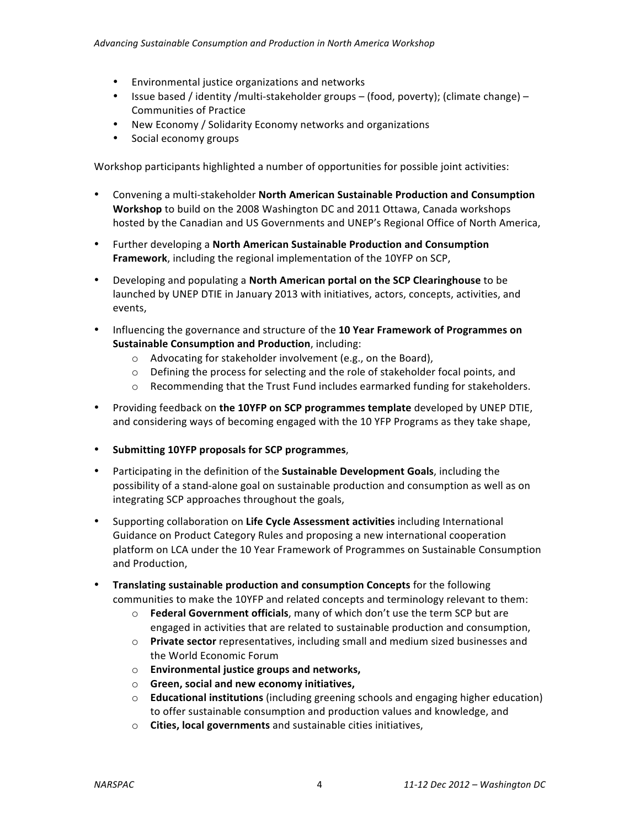- Environmental justice organizations and networks
- Issue based / identity /multi-stakeholder groups (food, poverty); (climate change) Communities of Practice
- New Economy / Solidarity Economy networks and organizations
- Social economy groups

Workshop participants highlighted a number of opportunities for possible joint activities:

- **•** Convening a multi-stakeholder North American Sustainable Production and Consumption **Workshop** to build on the 2008 Washington DC and 2011 Ottawa, Canada workshops hosted by the Canadian and US Governments and UNEP's Regional Office of North America,
- Further developing a North American Sustainable Production and Consumption **Framework**, including the regional implementation of the 10YFP on SCP,
- Developing and populating a **North American portal on the SCP Clearinghouse** to be launched by UNEP DTIE in January 2013 with initiatives, actors, concepts, activities, and events,
- Influencing the governance and structure of the 10 Year Framework of Programmes on **Sustainable Consumption and Production**, including:
	- $\circ$  Advocating for stakeholder involvement (e.g., on the Board),
	- $\circ$  Defining the process for selecting and the role of stakeholder focal points, and
	- $\circ$  Recommending that the Trust Fund includes earmarked funding for stakeholders.
- Providing feedback on the 10YFP on SCP programmes template developed by UNEP DTIE, and considering ways of becoming engaged with the 10 YFP Programs as they take shape,
- **Submitting 10YFP proposals for SCP programmes**,
- Participating in the definition of the **Sustainable Development Goals**, including the possibility of a stand-alone goal on sustainable production and consumption as well as on integrating SCP approaches throughout the goals,
- Supporting collaboration on Life Cycle Assessment activities including International Guidance on Product Category Rules and proposing a new international cooperation platform on LCA under the 10 Year Framework of Programmes on Sustainable Consumption and Production,
- **Translating sustainable production and consumption Concepts** for the following communities to make the 10YFP and related concepts and terminology relevant to them:
	- $\circ$  **Federal Government officials**, many of which don't use the term SCP but are engaged in activities that are related to sustainable production and consumption,
	- o **Private sector** representatives, including small and medium sized businesses and the World Economic Forum
	- $\circ$  **Environmental justice groups and networks,**
	- o **Green, social and new economy initiatives,**
	- $\circ$  **Educational institutions** (including greening schools and engaging higher education) to offer sustainable consumption and production values and knowledge, and
	- o **Cities, local governments** and sustainable cities initiatives,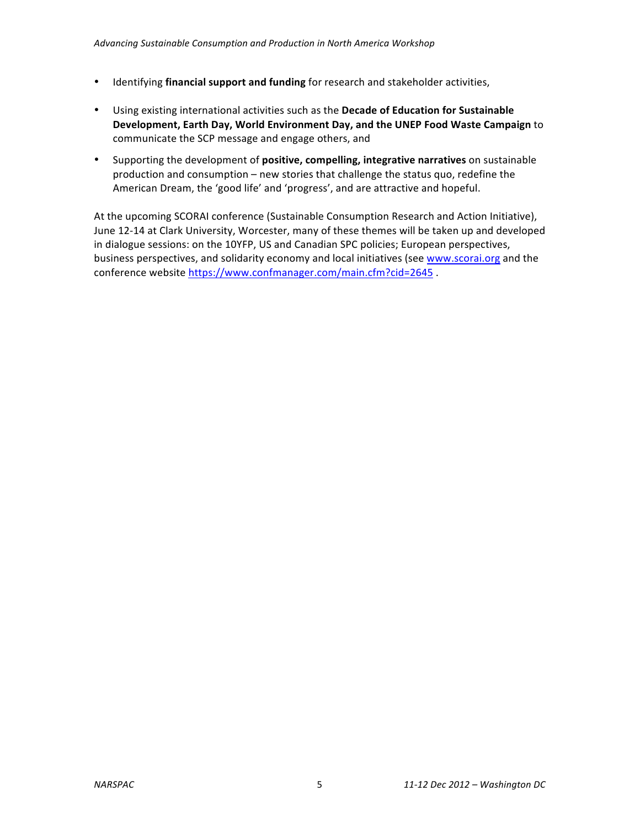- Identifying **financial support and funding** for research and stakeholder activities,
- Using existing international activities such as the Decade of Education for Sustainable **Development, Earth Day, World Environment Day, and the UNEP Food Waste Campaign** to communicate the SCP message and engage others, and
- Supporting the development of **positive, compelling, integrative narratives** on sustainable production and consumption – new stories that challenge the status quo, redefine the American Dream, the 'good life' and 'progress', and are attractive and hopeful.

At the upcoming SCORAI conference (Sustainable Consumption Research and Action Initiative), June 12-14 at Clark University, Worcester, many of these themes will be taken up and developed in dialogue sessions: on the 10YFP, US and Canadian SPC policies; European perspectives, business perspectives, and solidarity economy and local initiatives (see www.scorai.org and the conference website https://www.confmanager.com/main.cfm?cid=2645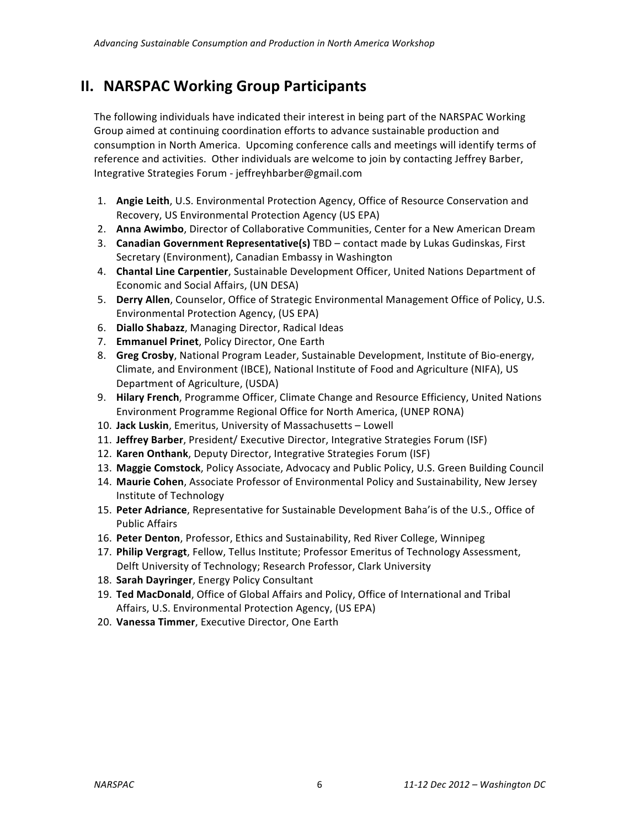## **II. NARSPAC Working Group Participants**

The following individuals have indicated their interest in being part of the NARSPAC Working Group aimed at continuing coordination efforts to advance sustainable production and consumption in North America. Upcoming conference calls and meetings will identify terms of reference and activities. Other individuals are welcome to join by contacting Jeffrey Barber, Integrative Strategies Forum - jeffreyhbarber@gmail.com

- 1. **Angie Leith**, U.S. Environmental Protection Agency, Office of Resource Conservation and Recovery, US Environmental Protection Agency (US EPA)
- 2. **Anna Awimbo**, Director of Collaborative Communities, Center for a New American Dream
- 3. **Canadian Government Representative(s)** TBD contact made by Lukas Gudinskas, First Secretary (Environment), Canadian Embassy in Washington
- 4. **Chantal Line Carpentier**, Sustainable Development Officer, United Nations Department of Economic and Social Affairs, (UN DESA)
- 5. Derry Allen, Counselor, Office of Strategic Environmental Management Office of Policy, U.S. Environmental Protection Agency, (US EPA)
- 6. **Diallo Shabazz**, Managing Director, Radical Ideas
- 7. **Emmanuel Prinet**, Policy Director, One Earth
- 8. **Greg Crosby**, National Program Leader, Sustainable Development, Institute of Bio-energy, Climate, and Environment (IBCE), National Institute of Food and Agriculture (NIFA), US Department of Agriculture, (USDA)
- 9. **Hilary French**, Programme Officer, Climate Change and Resource Efficiency, United Nations Environment Programme Regional Office for North America, (UNEP RONA)
- 10. Jack Luskin, Emeritus, University of Massachusetts Lowell
- 11. Jeffrey Barber, President/ Executive Director, Integrative Strategies Forum (ISF)
- 12. Karen Onthank, Deputy Director, Integrative Strategies Forum (ISF)
- 13. Maggie Comstock, Policy Associate, Advocacy and Public Policy, U.S. Green Building Council
- 14. Maurie Cohen, Associate Professor of Environmental Policy and Sustainability, New Jersey Institute of Technology
- 15. Peter Adriance, Representative for Sustainable Development Baha'is of the U.S., Office of Public Affairs
- 16. Peter Denton, Professor, Ethics and Sustainability, Red River College, Winnipeg
- 17. Philip Vergragt, Fellow, Tellus Institute; Professor Emeritus of Technology Assessment, Delft University of Technology; Research Professor, Clark University
- 18. Sarah Dayringer, Energy Policy Consultant
- 19. Ted MacDonald, Office of Global Affairs and Policy, Office of International and Tribal Affairs, U.S. Environmental Protection Agency, (US EPA)
- 20. Vanessa Timmer, Executive Director, One Earth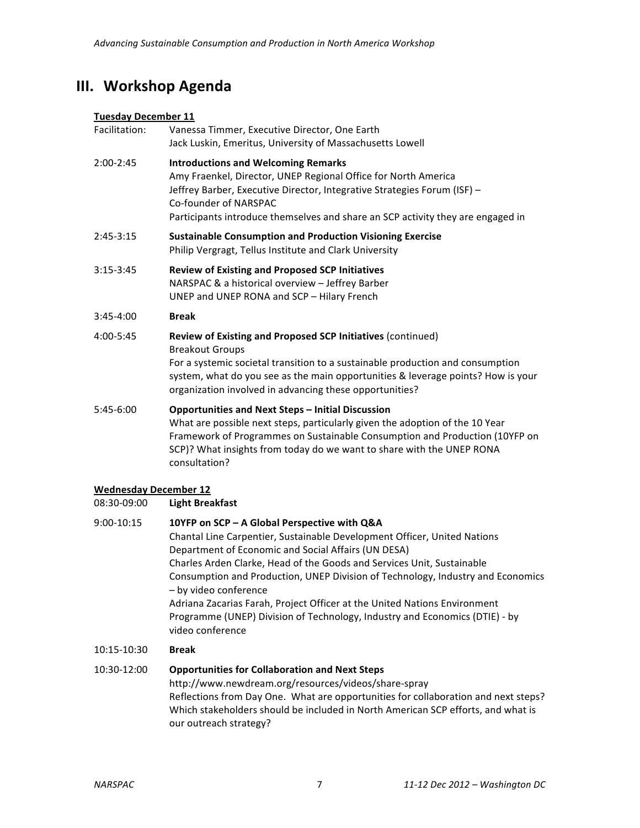## **III. Workshop Agenda**

## **Tuesday December 11**

| Facilitation: | Vanessa Timmer, Executive Director, One Earth<br>Jack Luskin, Emeritus, University of Massachusetts Lowell                                                                                                                                                                                                             |
|---------------|------------------------------------------------------------------------------------------------------------------------------------------------------------------------------------------------------------------------------------------------------------------------------------------------------------------------|
| $2:00 - 2:45$ | <b>Introductions and Welcoming Remarks</b><br>Amy Fraenkel, Director, UNEP Regional Office for North America<br>Jeffrey Barber, Executive Director, Integrative Strategies Forum (ISF) -<br>Co-founder of NARSPAC<br>Participants introduce themselves and share an SCP activity they are engaged in                   |
| $2:45-3:15$   | <b>Sustainable Consumption and Production Visioning Exercise</b><br>Philip Vergragt, Tellus Institute and Clark University                                                                                                                                                                                             |
| $3:15-3:45$   | <b>Review of Existing and Proposed SCP Initiatives</b><br>NARSPAC & a historical overview - Jeffrey Barber<br>UNEP and UNEP RONA and SCP - Hilary French                                                                                                                                                               |
| $3:45 - 4:00$ | <b>Break</b>                                                                                                                                                                                                                                                                                                           |
| 4:00-5:45     | Review of Existing and Proposed SCP Initiatives (continued)<br><b>Breakout Groups</b><br>For a systemic societal transition to a sustainable production and consumption<br>system, what do you see as the main opportunities & leverage points? How is your<br>organization involved in advancing these opportunities? |
| $5:45-6:00$   | <b>Opportunities and Next Steps - Initial Discussion</b><br>What are possible next steps, particularly given the adoption of the 10 Year<br>Framework of Programmes on Sustainable Consumption and Production (10YFP on<br>SCP)? What insights from today do we want to share with the UNEP RONA<br>consultation?      |

## **Wednesday December 12**

| 08:30-09:00 | <b>Light Breakfast</b>                                                                                                                                                 |
|-------------|------------------------------------------------------------------------------------------------------------------------------------------------------------------------|
| 9:00-10:15  | 10YFP on SCP - A Global Perspective with Q&A                                                                                                                           |
|             | Chantal Line Carpentier, Sustainable Development Officer, United Nations                                                                                               |
|             | Department of Economic and Social Affairs (UN DESA)                                                                                                                    |
|             | Charles Arden Clarke, Head of the Goods and Services Unit, Sustainable                                                                                                 |
|             | Consumption and Production, UNEP Division of Technology, Industry and Economics<br>- by video conference                                                               |
|             | Adriana Zacarias Farah, Project Officer at the United Nations Environment                                                                                              |
|             | Programme (UNEP) Division of Technology, Industry and Economics (DTIE) - by<br>video conference                                                                        |
| 10:15-10:30 | <b>Break</b>                                                                                                                                                           |
| 10:30-12:00 | <b>Opportunities for Collaboration and Next Steps</b>                                                                                                                  |
|             | http://www.newdream.org/resources/videos/share-spray                                                                                                                   |
|             | Reflections from Day One. What are opportunities for collaboration and next steps?<br>Which stakeholders should be included in North American SCP efforts, and what is |

our outreach strategy?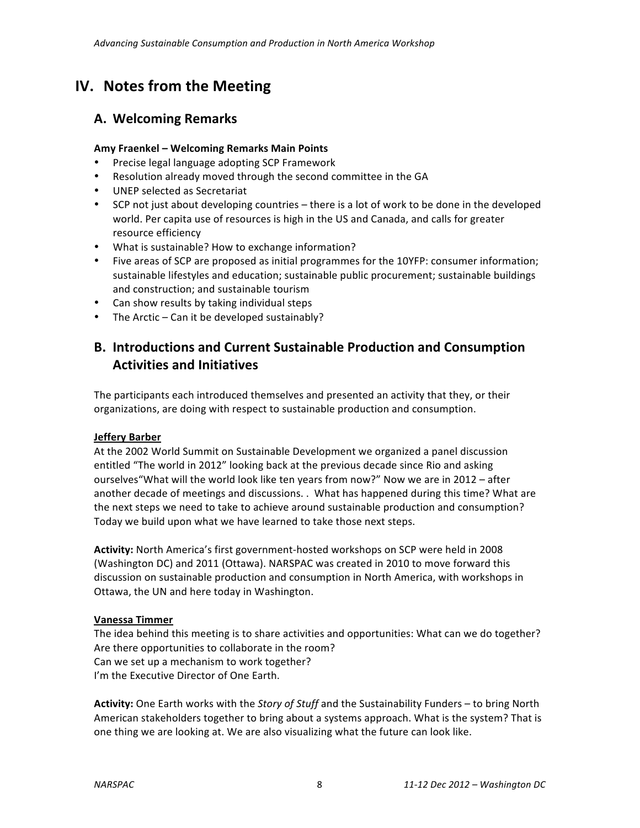## **IV.** Notes from the Meeting

## **A. Welcoming Remarks**

## Amy Fraenkel - Welcoming Remarks Main Points

- Precise legal language adopting SCP Framework
- Resolution already moved through the second committee in the GA
- UNEP selected as Secretariat
- SCP not just about developing countries there is a lot of work to be done in the developed world. Per capita use of resources is high in the US and Canada, and calls for greater resource efficiency
- What is sustainable? How to exchange information?
- Five areas of SCP are proposed as initial programmes for the 10YFP: consumer information; sustainable lifestyles and education; sustainable public procurement; sustainable buildings and construction; and sustainable tourism
- Can show results by taking individual steps
- The Arctic Can it be developed sustainably?

## **B. Introductions and Current Sustainable Production and Consumption Activities and Initiatives**

The participants each introduced themselves and presented an activity that they, or their organizations, are doing with respect to sustainable production and consumption.

## **Jeffery Barber**

At the 2002 World Summit on Sustainable Development we organized a panel discussion entitled "The world in 2012" looking back at the previous decade since Rio and asking ourselves "What will the world look like ten years from now?" Now we are in 2012 - after another decade of meetings and discussions. . What has happened during this time? What are the next steps we need to take to achieve around sustainable production and consumption? Today we build upon what we have learned to take those next steps.

Activity: North America's first government-hosted workshops on SCP were held in 2008 (Washington DC) and 2011 (Ottawa). NARSPAC was created in 2010 to move forward this discussion on sustainable production and consumption in North America, with workshops in Ottawa, the UN and here today in Washington.

## **Vanessa Timmer**

The idea behind this meeting is to share activities and opportunities: What can we do together? Are there opportunities to collaborate in the room? Can we set up a mechanism to work together? I'm the Executive Director of One Earth.

Activity: One Earth works with the *Story of Stuff* and the Sustainability Funders – to bring North American stakeholders together to bring about a systems approach. What is the system? That is one thing we are looking at. We are also visualizing what the future can look like.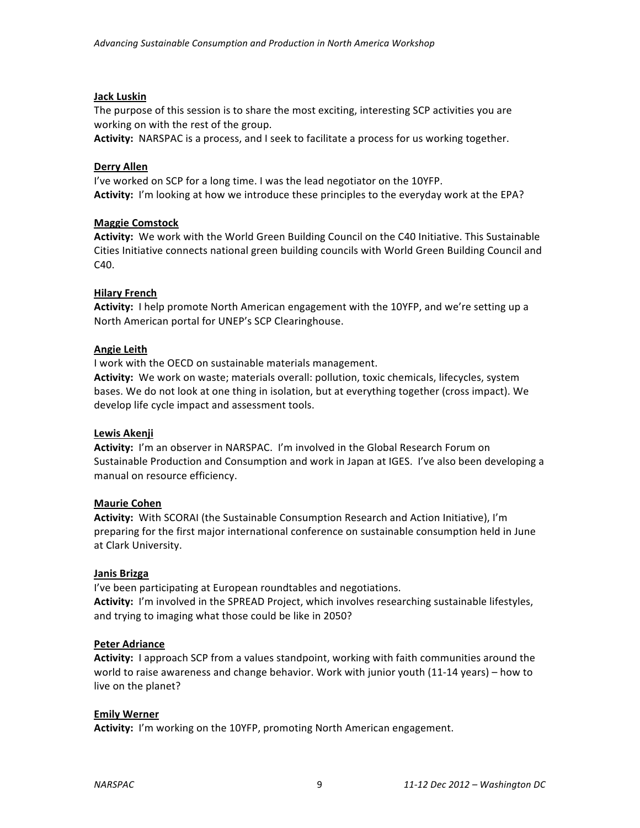## **Jack Luskin**

The purpose of this session is to share the most exciting, interesting SCP activities you are working on with the rest of the group.

Activity: NARSPAC is a process, and I seek to facilitate a process for us working together.

## **Derry Allen**

I've worked on SCP for a long time. I was the lead negotiator on the 10YFP. Activity: I'm looking at how we introduce these principles to the everyday work at the EPA?

## **Maggie Comstock**

Activity: We work with the World Green Building Council on the C40 Initiative. This Sustainable Cities Initiative connects national green building councils with World Green Building Council and C40.

## **Hilary French**

Activity: I help promote North American engagement with the 10YFP, and we're setting up a North American portal for UNEP's SCP Clearinghouse.

## **Angie Leith**

I work with the OECD on sustainable materials management.

Activity: We work on waste; materials overall: pollution, toxic chemicals, lifecycles, system bases. We do not look at one thing in isolation, but at everything together (cross impact). We develop life cycle impact and assessment tools.

## **Lewis Akenji**

Activity: I'm an observer in NARSPAC. I'm involved in the Global Research Forum on Sustainable Production and Consumption and work in Japan at IGES. I've also been developing a manual on resource efficiency.

## **Maurie Cohen**

Activity: With SCORAI (the Sustainable Consumption Research and Action Initiative), I'm preparing for the first major international conference on sustainable consumption held in June at Clark University.

## **Janis Brizga**

I've been participating at European roundtables and negotiations. Activity: I'm involved in the SPREAD Project, which involves researching sustainable lifestyles, and trying to imaging what those could be like in 2050?

## **Peter Adriance**

**Activity:** I approach SCP from a values standpoint, working with faith communities around the world to raise awareness and change behavior. Work with junior youth (11-14 years) – how to live on the planet?

## **Emily Werner**

Activity: I'm working on the 10YFP, promoting North American engagement.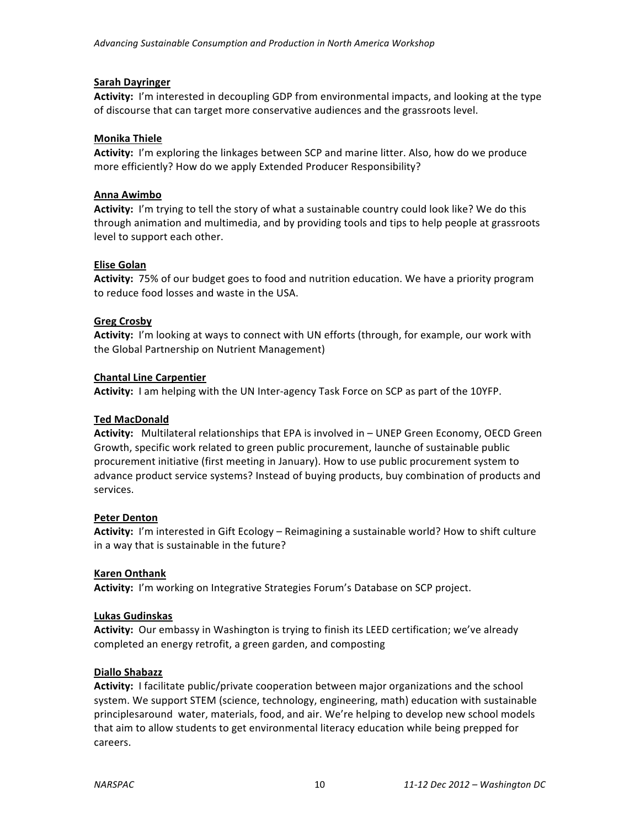## **Sarah Dayringer**

Activity: I'm interested in decoupling GDP from environmental impacts, and looking at the type of discourse that can target more conservative audiences and the grassroots level.

## **Monika Thiele**

Activity: I'm exploring the linkages between SCP and marine litter. Also, how do we produce more efficiently? How do we apply Extended Producer Responsibility?

## **Anna Awimbo**

Activity: I'm trying to tell the story of what a sustainable country could look like? We do this through animation and multimedia, and by providing tools and tips to help people at grassroots level to support each other.

## **Elise Golan**

**Activity:** 75% of our budget goes to food and nutrition education. We have a priority program to reduce food losses and waste in the USA.

## **Greg Crosby**

Activity: I'm looking at ways to connect with UN efforts (through, for example, our work with the Global Partnership on Nutrient Management)

## **Chantal Line Carpentier**

Activity: I am helping with the UN Inter-agency Task Force on SCP as part of the 10YFP.

## **Ted MacDonald**

Activity: Multilateral relationships that EPA is involved in – UNEP Green Economy, OECD Green Growth, specific work related to green public procurement, launche of sustainable public procurement initiative (first meeting in January). How to use public procurement system to advance product service systems? Instead of buying products, buy combination of products and services.

## **Peter Denton**

**Activity:** I'm interested in Gift Ecology – Reimagining a sustainable world? How to shift culture in a way that is sustainable in the future?

## **Karen Onthank**

Activity: I'm working on Integrative Strategies Forum's Database on SCP project.

## **Lukas Gudinskas**

Activity: Our embassy in Washington is trying to finish its LEED certification; we've already completed an energy retrofit, a green garden, and composting

## **Diallo Shabazz**

**Activity:** I facilitate public/private cooperation between major organizations and the school system. We support STEM (science, technology, engineering, math) education with sustainable principlesaround water, materials, food, and air. We're helping to develop new school models that aim to allow students to get environmental literacy education while being prepped for careers.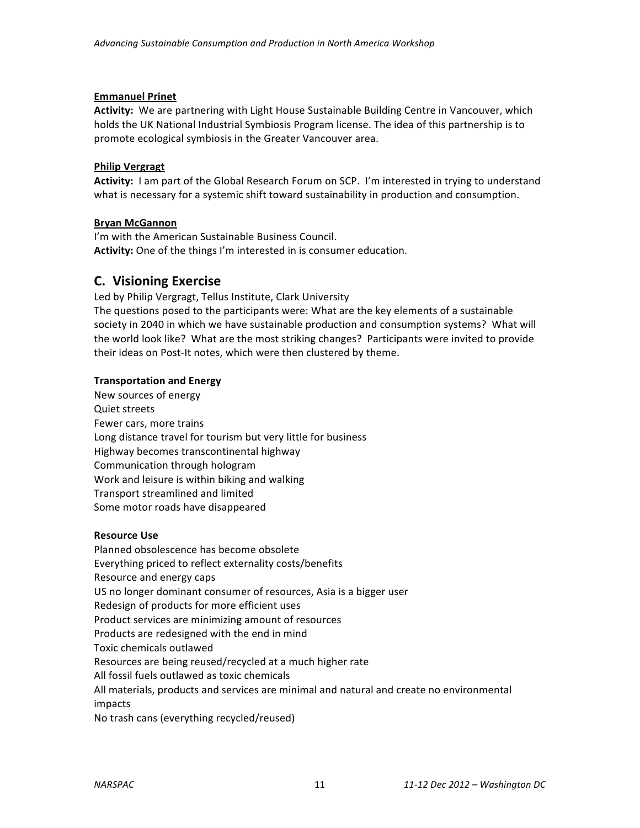## **Emmanuel Prinet**

Activity: We are partnering with Light House Sustainable Building Centre in Vancouver, which holds the UK National Industrial Symbiosis Program license. The idea of this partnership is to promote ecological symbiosis in the Greater Vancouver area.

## **Philip Vergragt**

Activity: I am part of the Global Research Forum on SCP. I'm interested in trying to understand what is necessary for a systemic shift toward sustainability in production and consumption.

## **Bryan McGannon**

I'm with the American Sustainable Business Council. Activity: One of the things I'm interested in is consumer education.

## **C. Visioning Exercise**

Led by Philip Vergragt, Tellus Institute, Clark University The questions posed to the participants were: What are the key elements of a sustainable society in 2040 in which we have sustainable production and consumption systems? What will the world look like? What are the most striking changes? Participants were invited to provide their ideas on Post-It notes, which were then clustered by theme.

## **Transportation and Energy**

New sources of energy Quiet streets Fewer cars, more trains Long distance travel for tourism but very little for business Highway becomes transcontinental highway Communication through hologram Work and leisure is within biking and walking Transport streamlined and limited Some motor roads have disappeared

## **Resource Use**

Planned obsolescence has become obsolete Everything priced to reflect externality costs/benefits Resource and energy caps US no longer dominant consumer of resources, Asia is a bigger user Redesign of products for more efficient uses Product services are minimizing amount of resources Products are redesigned with the end in mind Toxic chemicals outlawed Resources are being reused/recycled at a much higher rate All fossil fuels outlawed as toxic chemicals All materials, products and services are minimal and natural and create no environmental impacts No trash cans (everything recycled/reused)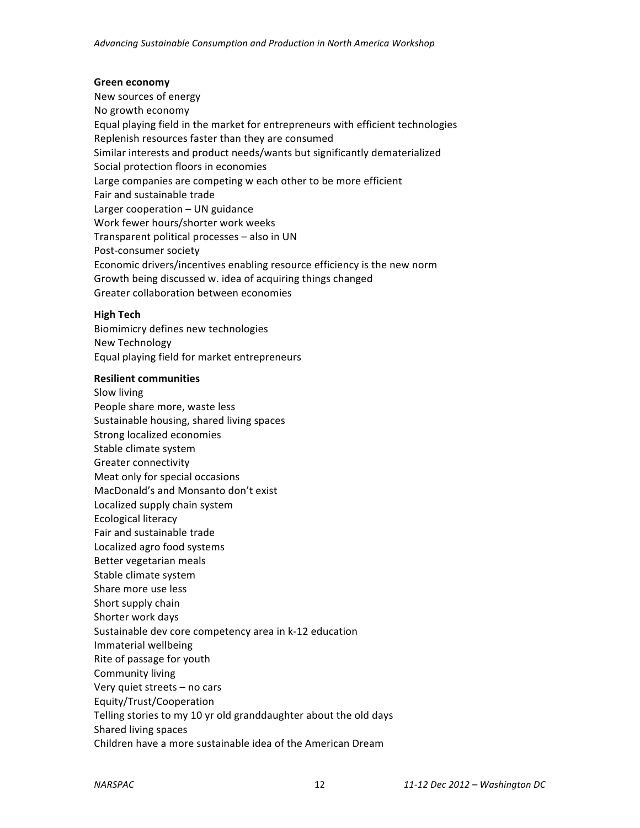#### **Green economy**

New sources of energy No growth economy Equal playing field in the market for entrepreneurs with efficient technologies Replenish resources faster than they are consumed Similar interests and product needs/wants but significantly dematerialized Social protection floors in economies Large companies are competing w each other to be more efficient Fair and sustainable trade Larger cooperation  $-$  UN guidance Work fewer hours/shorter work weeks Transparent political processes - also in UN Post-consumer society Economic drivers/incentives enabling resource efficiency is the new norm Growth being discussed w. idea of acquiring things changed Greater collaboration between economies

#### **High Tech**

Biomimicry defines new technologies New Technology Equal playing field for market entrepreneurs

#### **Resilient communities**

Slow living People share more, waste less Sustainable housing, shared living spaces Strong localized economies Stable climate system Greater connectivity Meat only for special occasions MacDonald's and Monsanto don't exist Localized supply chain system Ecological literacy Fair and sustainable trade Localized agro food systems Better vegetarian meals Stable climate system Share more use less Short supply chain Shorter work days Sustainable dev core competency area in k-12 education Immaterial wellbeing Rite of passage for youth Community living Very quiet streets - no cars Equity/Trust/Cooperation Telling stories to my 10 yr old granddaughter about the old days Shared living spaces Children have a more sustainable idea of the American Dream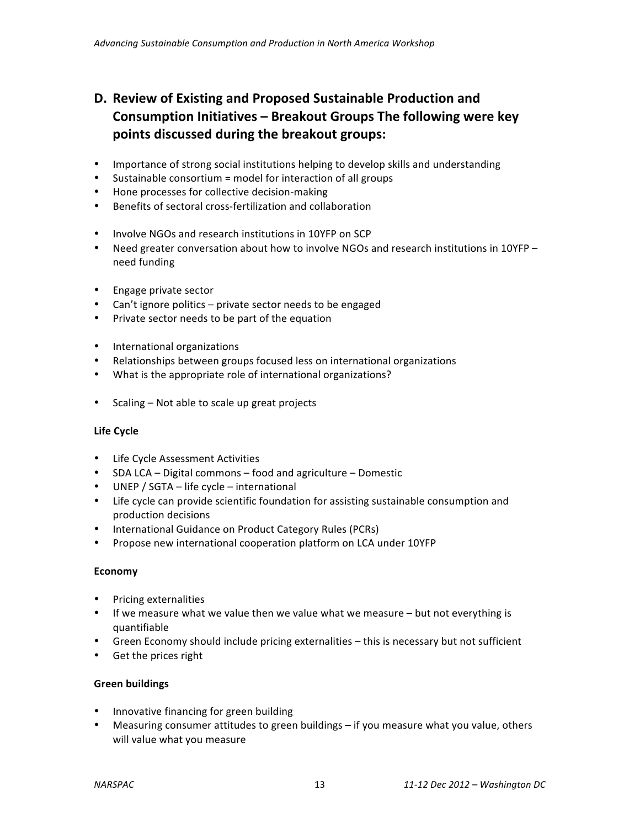## **D.** Review of Existing and Proposed Sustainable Production and Consumption Initiatives - Breakout Groups The following were key **points discussed during the breakout groups:**

- Importance of strong social institutions helping to develop skills and understanding
- Sustainable consortium = model for interaction of all groups
- Hone processes for collective decision-making
- Benefits of sectoral cross-fertilization and collaboration
- Involve NGOs and research institutions in 10YFP on SCP
- Need greater conversation about how to involve NGOs and research institutions in 10YFP need funding
- Engage private sector
- Can't ignore politics private sector needs to be engaged
- Private sector needs to be part of the equation
- International organizations
- Relationships between groups focused less on international organizations
- What is the appropriate role of international organizations?
- Scaling Not able to scale up great projects

## **Life Cycle**

- Life Cycle Assessment Activities
- SDA LCA Digital commons food and agriculture Domestic
- UNEP / SGTA life cycle international
- Life cycle can provide scientific foundation for assisting sustainable consumption and production decisions
- International Guidance on Product Category Rules (PCRs)
- Propose new international cooperation platform on LCA under 10YFP

## **Economy**

- Pricing externalities
- If we measure what we value then we value what we measure but not everything is quantifiable
- Green Economy should include pricing externalities this is necessary but not sufficient
- Get the prices right

## **Green buildings**

- Innovative financing for green building
- Measuring consumer attitudes to green buildings if you measure what you value, others will value what you measure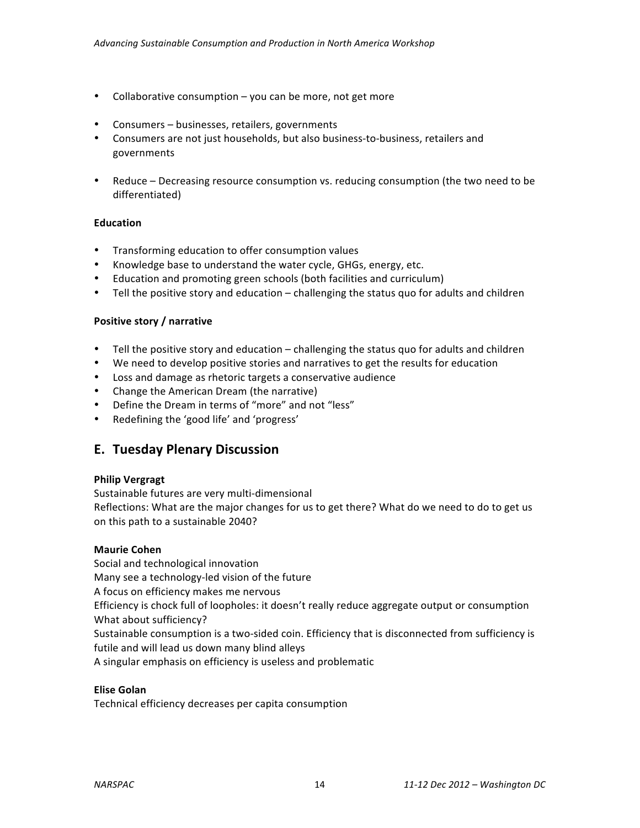- Collaborative consumption  $-$  you can be more, not get more
- Consumers businesses, retailers, governments
- Consumers are not just households, but also business-to-business, retailers and governments
- Reduce Decreasing resource consumption vs. reducing consumption (the two need to be differentiated)

## **Education**

- Transforming education to offer consumption values
- Knowledge base to understand the water cycle, GHGs, energy, etc.
- Education and promoting green schools (both facilities and curriculum)
- Tell the positive story and education challenging the status quo for adults and children

## **Positive story / narrative**

- Tell the positive story and education challenging the status quo for adults and children
- We need to develop positive stories and narratives to get the results for education
- Loss and damage as rhetoric targets a conservative audience
- Change the American Dream (the narrative)
- Define the Dream in terms of "more" and not "less"
- Redefining the 'good life' and 'progress'

## **E. Tuesday Plenary Discussion**

## **Philip Vergragt**

Sustainable futures are very multi-dimensional Reflections: What are the major changes for us to get there? What do we need to do to get us on this path to a sustainable 2040?

## **Maurie Cohen**

Social and technological innovation Many see a technology-led vision of the future A focus on efficiency makes me nervous Efficiency is chock full of loopholes: it doesn't really reduce aggregate output or consumption What about sufficiency? Sustainable consumption is a two-sided coin. Efficiency that is disconnected from sufficiency is futile and will lead us down many blind alleys

A singular emphasis on efficiency is useless and problematic

## **Elise Golan**

Technical efficiency decreases per capita consumption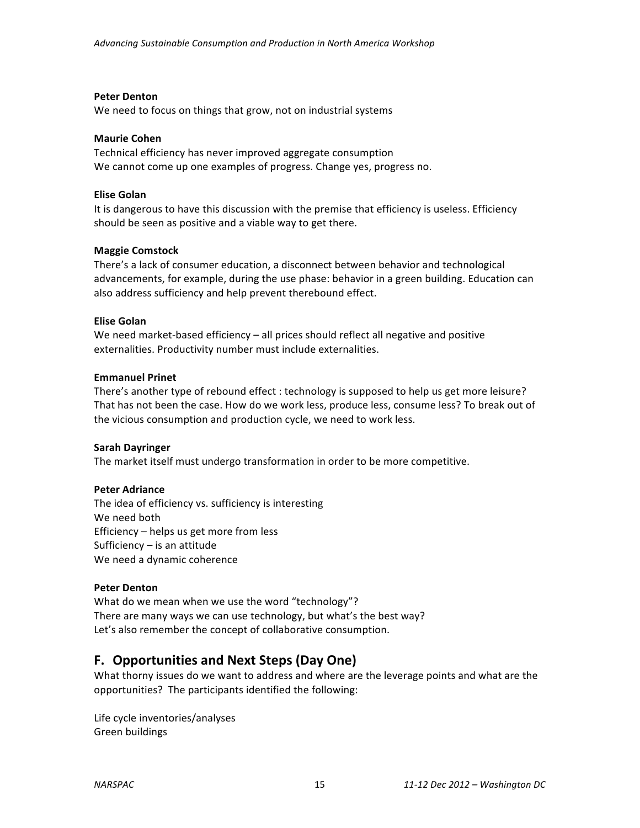## **Peter Denton**

We need to focus on things that grow, not on industrial systems

## **Maurie Cohen**

Technical efficiency has never improved aggregate consumption We cannot come up one examples of progress. Change yes, progress no.

## **Elise Golan**

It is dangerous to have this discussion with the premise that efficiency is useless. Efficiency should be seen as positive and a viable way to get there.

## **Maggie Comstock**

There's a lack of consumer education, a disconnect between behavior and technological advancements, for example, during the use phase: behavior in a green building. Education can also address sufficiency and help prevent therebound effect.

## **Elise Golan**

We need market-based efficiency  $-$  all prices should reflect all negative and positive externalities. Productivity number must include externalities.

## **Emmanuel Prinet**

There's another type of rebound effect : technology is supposed to help us get more leisure? That has not been the case. How do we work less, produce less, consume less? To break out of the vicious consumption and production cycle, we need to work less.

## **Sarah Dayringer**

The market itself must undergo transformation in order to be more competitive.

## **Peter Adriance**

The idea of efficiency vs. sufficiency is interesting We need both Efficiency  $-$  helps us get more from less Sufficiency  $-$  is an attitude We need a dynamic coherence

## **Peter Denton**

What do we mean when we use the word "technology"? There are many ways we can use technology, but what's the best way? Let's also remember the concept of collaborative consumption.

## **F.** Opportunities and Next Steps (Day One)

What thorny issues do we want to address and where are the leverage points and what are the opportunities? The participants identified the following:

Life cycle inventories/analyses Green buildings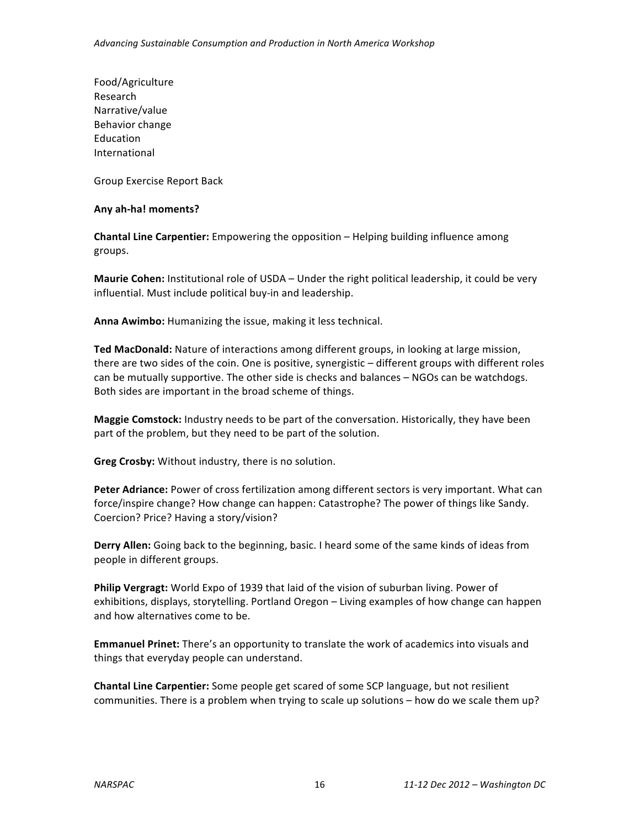Food/Agriculture Research Narrative/value Behavior change Education International

Group Exercise Report Back

## **Any ah-ha! moments?**

**Chantal Line Carpentier:** Empowering the opposition – Helping building influence among groups.

**Maurie Cohen:** Institutional role of USDA – Under the right political leadership, it could be very influential. Must include political buy-in and leadership.

Anna Awimbo: Humanizing the issue, making it less technical.

Ted MacDonald: Nature of interactions among different groups, in looking at large mission, there are two sides of the coin. One is positive, synergistic – different groups with different roles can be mutually supportive. The other side is checks and balances – NGOs can be watchdogs. Both sides are important in the broad scheme of things.

**Maggie Comstock:** Industry needs to be part of the conversation. Historically, they have been part of the problem, but they need to be part of the solution.

**Greg Crosby:** Without industry, there is no solution.

**Peter Adriance:** Power of cross fertilization among different sectors is very important. What can force/inspire change? How change can happen: Catastrophe? The power of things like Sandy. Coercion? Price? Having a story/vision?

**Derry Allen:** Going back to the beginning, basic. I heard some of the same kinds of ideas from people in different groups.

**Philip Vergragt:** World Expo of 1939 that laid of the vision of suburban living. Power of exhibitions, displays, storytelling. Portland Oregon – Living examples of how change can happen and how alternatives come to be.

**Emmanuel Prinet:** There's an opportunity to translate the work of academics into visuals and things that everyday people can understand.

**Chantal Line Carpentier:** Some people get scared of some SCP language, but not resilient communities. There is a problem when trying to scale up solutions – how do we scale them up?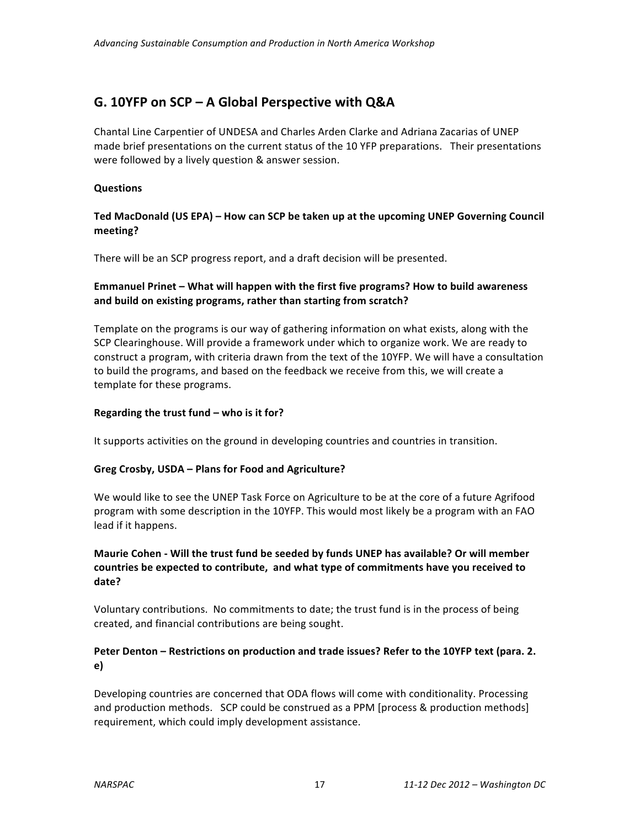## G. 10YFP on SCP – A Global Perspective with Q&A

Chantal Line Carpentier of UNDESA and Charles Arden Clarke and Adriana Zacarias of UNEP made brief presentations on the current status of the 10 YFP preparations. Their presentations were followed by a lively question & answer session.

## **Questions**

## Ted MacDonald (US EPA) – How can SCP be taken up at the upcoming UNEP Governing Council **meeting?**

There will be an SCP progress report, and a draft decision will be presented.

## **Emmanuel Prinet – What will happen with the first five programs? How to build awareness** and build on existing programs, rather than starting from scratch?

Template on the programs is our way of gathering information on what exists, along with the SCP Clearinghouse. Will provide a framework under which to organize work. We are ready to construct a program, with criteria drawn from the text of the 10YFP. We will have a consultation to build the programs, and based on the feedback we receive from this, we will create a template for these programs.

## Regarding the trust fund – who is it for?

It supports activities on the ground in developing countries and countries in transition.

## Greg Crosby, USDA - Plans for Food and Agriculture?

We would like to see the UNEP Task Force on Agriculture to be at the core of a future Agrifood program with some description in the 10YFP. This would most likely be a program with an FAO lead if it happens.

## Maurie Cohen - Will the trust fund be seeded by funds UNEP has available? Or will member countries be expected to contribute, and what type of commitments have you received to **date?**

Voluntary contributions. No commitments to date; the trust fund is in the process of being created, and financial contributions are being sought.

## Peter Denton – Restrictions on production and trade issues? Refer to the 10YFP text (para. 2. **e)**

Developing countries are concerned that ODA flows will come with conditionality. Processing and production methods. SCP could be construed as a PPM [process & production methods] requirement, which could imply development assistance.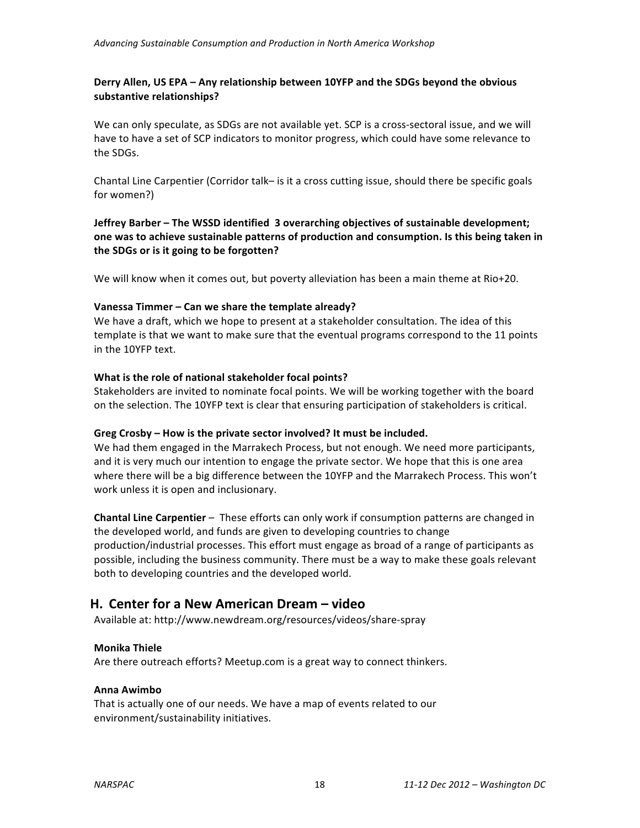## Derry Allen, US EPA – Any relationship between 10YFP and the SDGs beyond the obvious substantive relationships?

We can only speculate, as SDGs are not available yet. SCP is a cross-sectoral issue, and we will have to have a set of SCP indicators to monitor progress, which could have some relevance to the SDGs.

Chantal Line Carpentier (Corridor talk– is it a cross cutting issue, should there be specific goals for women?)

**Jeffrey Barber** – The WSSD identified 3 overarching objectives of sustainable development; **one** was to achieve sustainable patterns of production and consumption. Is this being taken in the SDGs or is it going to be forgotten?

We will know when it comes out, but poverty alleviation has been a main theme at Rio+20.

## **Vanessa Timmer – Can we share the template already?**

We have a draft, which we hope to present at a stakeholder consultation. The idea of this template is that we want to make sure that the eventual programs correspond to the 11 points in the 10YFP text.

## **What is the role of national stakeholder focal points?**

Stakeholders are invited to nominate focal points. We will be working together with the board on the selection. The 10YFP text is clear that ensuring participation of stakeholders is critical.

## Greg Crosby – How is the private sector involved? It must be included.

We had them engaged in the Marrakech Process, but not enough. We need more participants, and it is very much our intention to engage the private sector. We hope that this is one area where there will be a big difference between the 10YFP and the Marrakech Process. This won't work unless it is open and inclusionary.

**Chantal Line Carpentier** – These efforts can only work if consumption patterns are changed in the developed world, and funds are given to developing countries to change production/industrial processes. This effort must engage as broad of a range of participants as possible, including the business community. There must be a way to make these goals relevant both to developing countries and the developed world.

## **H.** Center for a New American Dream – video

Available at: http://www.newdream.org/resources/videos/share-spray

## **Monika Thiele**

Are there outreach efforts? Meetup.com is a great way to connect thinkers.

## **Anna Awimbo**

That is actually one of our needs. We have a map of events related to our environment/sustainability initiatives.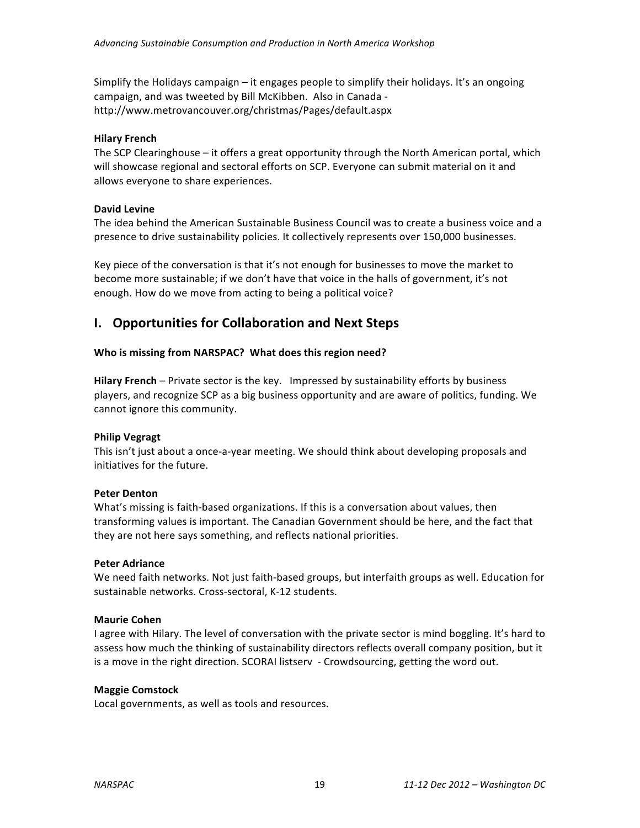Simplify the Holidays campaign  $-$  it engages people to simplify their holidays. It's an ongoing campaign, and was tweeted by Bill McKibben. Also in Canada http://www.metrovancouver.org/christmas/Pages/default.aspx

## **Hilary French**

The SCP Clearinghouse  $-$  it offers a great opportunity through the North American portal, which will showcase regional and sectoral efforts on SCP. Everyone can submit material on it and allows everyone to share experiences.

## **David Levine**

The idea behind the American Sustainable Business Council was to create a business voice and a presence to drive sustainability policies. It collectively represents over 150,000 businesses.

Key piece of the conversation is that it's not enough for businesses to move the market to become more sustainable; if we don't have that voice in the halls of government, it's not enough. How do we move from acting to being a political voice?

## **I.** Opportunities for Collaboration and Next Steps

## Who is missing from NARSPAC? What does this region need?

**Hilary French** – Private sector is the key. Impressed by sustainability efforts by business players, and recognize SCP as a big business opportunity and are aware of politics, funding. We cannot ignore this community.

## **Philip Vegragt**

This isn't just about a once-a-year meeting. We should think about developing proposals and initiatives for the future.

## **Peter Denton**

What's missing is faith-based organizations. If this is a conversation about values, then transforming values is important. The Canadian Government should be here, and the fact that they are not here says something, and reflects national priorities.

## **Peter Adriance**

We need faith networks. Not just faith-based groups, but interfaith groups as well. Education for sustainable networks. Cross-sectoral, K-12 students.

## **Maurie Cohen**

I agree with Hilary. The level of conversation with the private sector is mind boggling. It's hard to assess how much the thinking of sustainability directors reflects overall company position, but it is a move in the right direction. SCORAI listserv - Crowdsourcing, getting the word out.

## **Maggie Comstock**

Local governments, as well as tools and resources.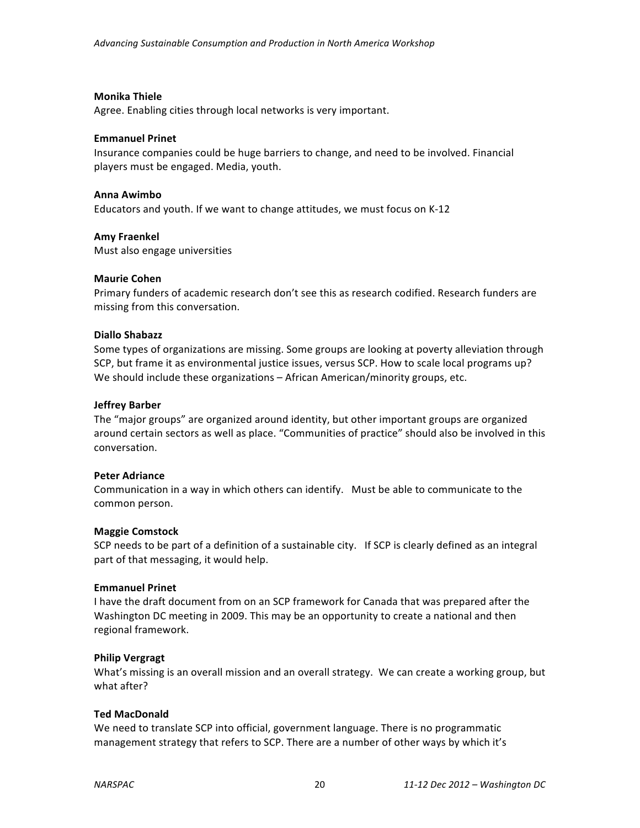#### **Monika Thiele**

Agree. Enabling cities through local networks is very important.

#### **Emmanuel Prinet**

Insurance companies could be huge barriers to change, and need to be involved. Financial players must be engaged. Media, youth.

#### **Anna Awimbo**

Educators and youth. If we want to change attitudes, we must focus on K-12

#### **Amy Fraenkel**

Must also engage universities

#### **Maurie Cohen**

Primary funders of academic research don't see this as research codified. Research funders are missing from this conversation.

#### **Diallo Shabazz**

Some types of organizations are missing. Some groups are looking at poverty alleviation through SCP, but frame it as environmental justice issues, versus SCP. How to scale local programs up? We should include these organizations – African American/minority groups, etc.

#### **Jeffrey Barber**

The "major groups" are organized around identity, but other important groups are organized around certain sectors as well as place. "Communities of practice" should also be involved in this conversation.

#### **Peter Adriance**

Communication in a way in which others can identify. Must be able to communicate to the common person.

## **Maggie Comstock**

SCP needs to be part of a definition of a sustainable city. If SCP is clearly defined as an integral part of that messaging, it would help.

#### **Emmanuel Prinet**

I have the draft document from on an SCP framework for Canada that was prepared after the Washington DC meeting in 2009. This may be an opportunity to create a national and then regional framework.

## **Philip Vergragt**

What's missing is an overall mission and an overall strategy. We can create a working group, but what after?

#### **Ted MacDonald**

We need to translate SCP into official, government language. There is no programmatic management strategy that refers to SCP. There are a number of other ways by which it's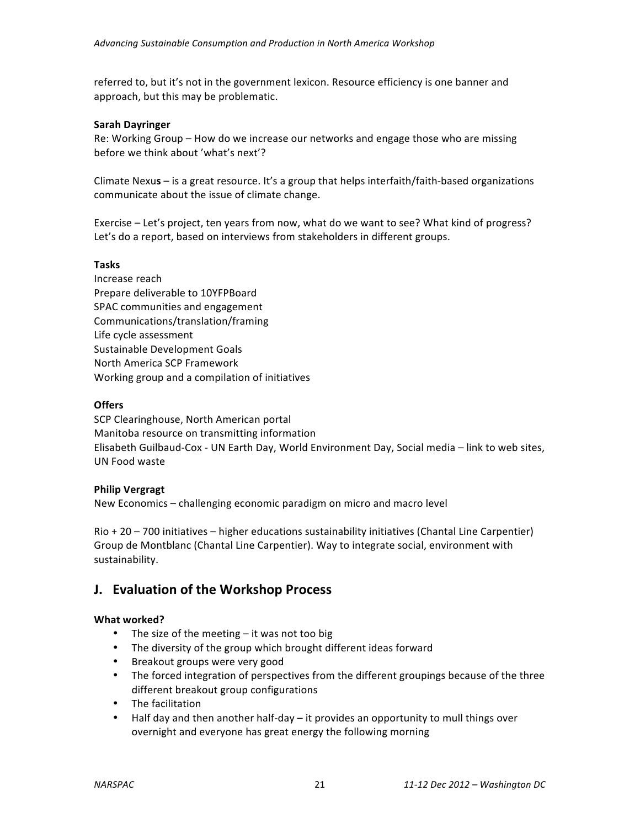referred to, but it's not in the government lexicon. Resource efficiency is one banner and approach, but this may be problematic.

## **Sarah Dayringer**

Re: Working Group – How do we increase our networks and engage those who are missing before we think about 'what's next'?

Climate Nexus – is a great resource. It's a group that helps interfaith/faith-based organizations communicate about the issue of climate change.

Exercise – Let's project, ten years from now, what do we want to see? What kind of progress? Let's do a report, based on interviews from stakeholders in different groups.

## **Tasks**

Increase reach Prepare deliverable to 10YFPBoard SPAC communities and engagement Communications/translation/framing Life cycle assessment Sustainable Development Goals North America SCP Framework Working group and a compilation of initiatives

## **Offers**

SCP Clearinghouse, North American portal Manitoba resource on transmitting information Elisabeth Guilbaud-Cox - UN Earth Day, World Environment Day, Social media - link to web sites, UN Food waste 

## **Philip Vergragt**

New Economics – challenging economic paradigm on micro and macro level

 $R$ io + 20 – 700 initiatives – higher educations sustainability initiatives (Chantal Line Carpentier) Group de Montblanc (Chantal Line Carpentier). Way to integrate social, environment with sustainability.

## **J. Evaluation of the Workshop Process**

## **What worked?**

- The size of the meeting  $-$  it was not too big
- The diversity of the group which brought different ideas forward
- Breakout groups were very good
- The forced integration of perspectives from the different groupings because of the three different breakout group configurations
- The facilitation
- Half day and then another half-day  $-$  it provides an opportunity to mull things over overnight and everyone has great energy the following morning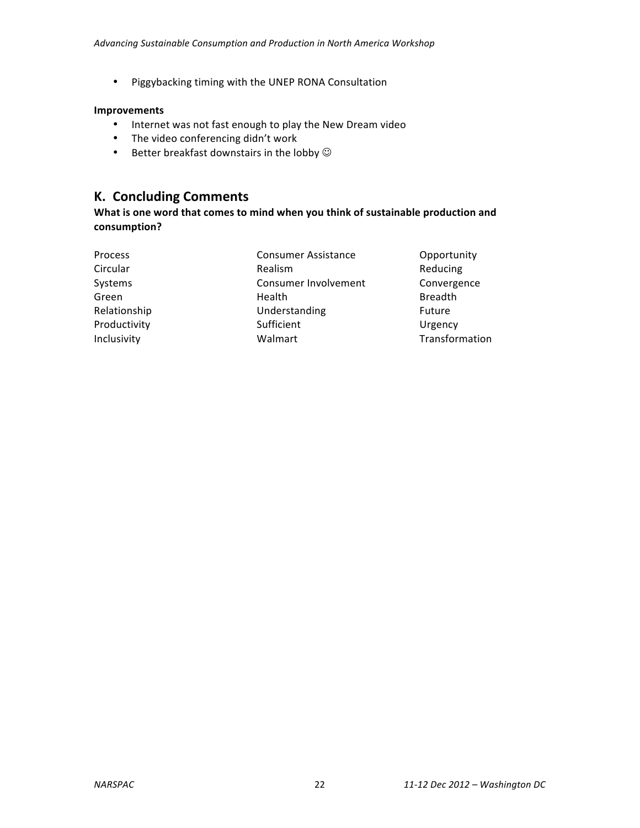• Piggybacking timing with the UNEP RONA Consultation

## **Improvements**

- Internet was not fast enough to play the New Dream video
- The video conferencing didn't work
- Better breakfast downstairs in the lobby  $\odot$

## **K. Concluding Comments**

What is one word that comes to mind when you think of sustainable production and **consumption?**

| <b>Process</b> | <b>Consumer Assistance</b> | Opportunity    |
|----------------|----------------------------|----------------|
| Circular       | <b>Realism</b>             | Reducing       |
| Systems        | Consumer Involvement       | Convergence    |
| Green          | Health                     | <b>Breadth</b> |
| Relationship   | Understanding              | Future         |
| Productivity   | Sufficient                 | Urgency        |
| Inclusivity    | Walmart                    | Transformation |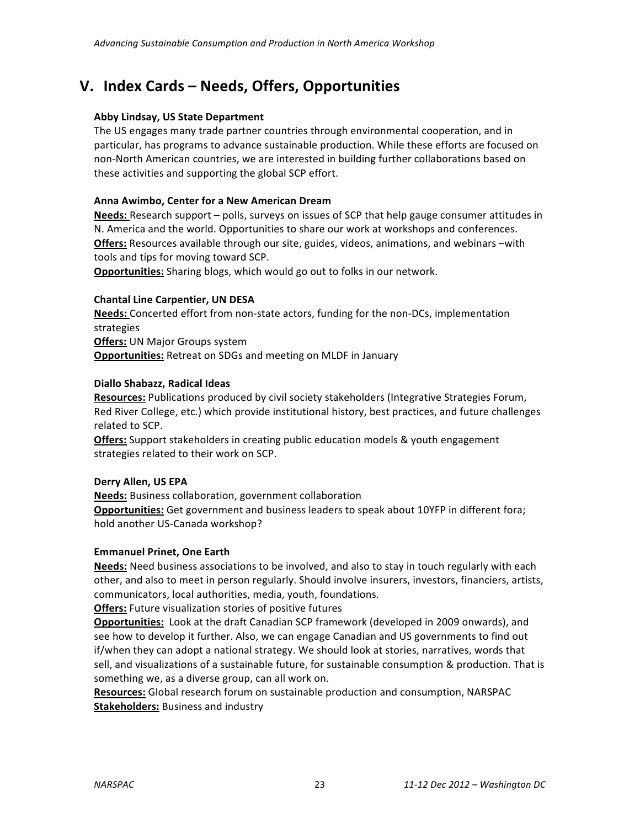## **V. Index Cards – Needs, Offers, Opportunities**

## **Abby Lindsay, US State Department**

The US engages many trade partner countries through environmental cooperation, and in particular, has programs to advance sustainable production. While these efforts are focused on non-North American countries, we are interested in building further collaborations based on these activities and supporting the global SCP effort.

## **Anna Awimbo, Center for a New American Dream**

**Needs:** Research support – polls, surveys on issues of SCP that help gauge consumer attitudes in N. America and the world. Opportunities to share our work at workshops and conferences. **Offers:** Resources available through our site, guides, videos, animations, and webinars -with tools and tips for moving toward SCP.

**Opportunities:** Sharing blogs, which would go out to folks in our network.

## **Chantal Line Carpentier, UN DESA**

Needs: Concerted effort from non-state actors, funding for the non-DCs, implementation strategies **Offers: UN Major Groups system Opportunities:** Retreat on SDGs and meeting on MLDF in January

## **Diallo Shabazz, Radical Ideas**

**Resources:** Publications produced by civil society stakeholders (Integrative Strategies Forum, Red River College, etc.) which provide institutional history, best practices, and future challenges related to SCP.

**Offers:** Support stakeholders in creating public education models & youth engagement strategies related to their work on SCP.

## **Derry Allen, US EPA**

**Needs:** Business collaboration, government collaboration **Opportunities:** Get government and business leaders to speak about 10YFP in different fora; hold another US-Canada workshop?

## **Emmanuel Prinet, One Earth**

**Needs:** Need business associations to be involved, and also to stay in touch regularly with each other, and also to meet in person regularly. Should involve insurers, investors, financiers, artists, communicators, local authorities, media, youth, foundations.

**Offers:** Future visualization stories of positive futures

**Opportunities:** Look at the draft Canadian SCP framework (developed in 2009 onwards), and see how to develop it further. Also, we can engage Canadian and US governments to find out if/when they can adopt a national strategy. We should look at stories, narratives, words that sell, and visualizations of a sustainable future, for sustainable consumption & production. That is something we, as a diverse group, can all work on.

**Resources:** Global research forum on sustainable production and consumption, NARSPAC **Stakeholders:** Business and industry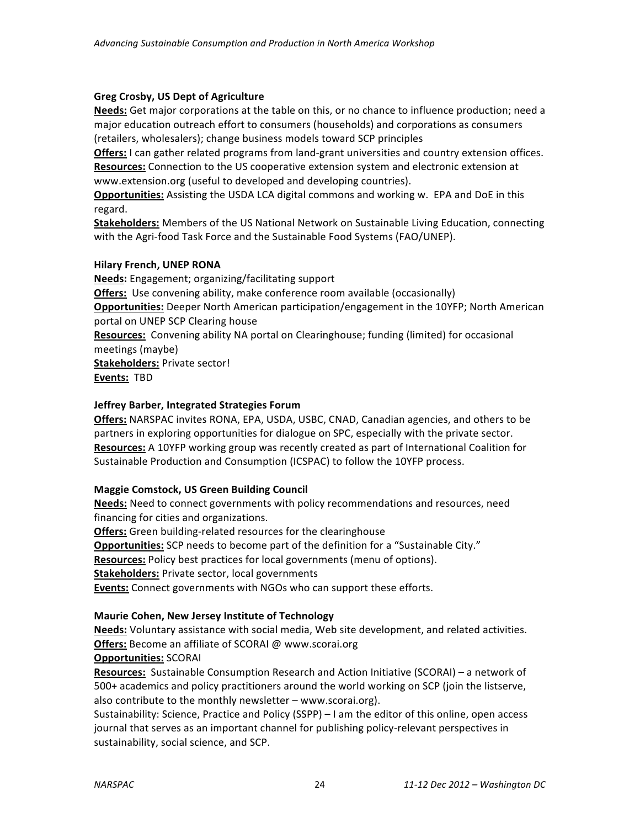## **Greg Crosby, US Dept of Agriculture**

**Needs:** Get major corporations at the table on this, or no chance to influence production; need a major education outreach effort to consumers (households) and corporations as consumers (retailers, wholesalers); change business models toward SCP principles

**Offers:** I can gather related programs from land-grant universities and country extension offices. **Resources:** Connection to the US cooperative extension system and electronic extension at www.extension.org (useful to developed and developing countries).

**Opportunities:** Assisting the USDA LCA digital commons and working w. EPA and DoE in this regard.

**Stakeholders:** Members of the US National Network on Sustainable Living Education, connecting with the Agri-food Task Force and the Sustainable Food Systems (FAO/UNEP).

## **Hilary French, UNEP RONA**

**Needs:** Engagement; organizing/facilitating support **Offers:** Use convening ability, make conference room available (occasionally) **Opportunities:** Deeper North American participation/engagement in the 10YFP; North American portal on UNEP SCP Clearing house **Resources:** Convening ability NA portal on Clearinghouse; funding (limited) for occasional meetings (maybe) **Stakeholders: Private sector! Events: TBD** 

## **Jeffrey Barber, Integrated Strategies Forum**

**Offers:** NARSPAC invites RONA, EPA, USDA, USBC, CNAD, Canadian agencies, and others to be partners in exploring opportunities for dialogue on SPC, especially with the private sector. **Resources:** A 10YFP working group was recently created as part of International Coalition for Sustainable Production and Consumption (ICSPAC) to follow the 10YFP process.

## **Maggie Comstock, US Green Building Council**

Needs: Need to connect governments with policy recommendations and resources, need financing for cities and organizations.

**Offers:** Green building-related resources for the clearinghouse

**Opportunities:** SCP needs to become part of the definition for a "Sustainable City."

**Resources:** Policy best practices for local governments (menu of options).

**Stakeholders:** Private sector, local governments

**Events:** Connect governments with NGOs who can support these efforts.

## **Maurie Cohen, New Jersey Institute of Technology**

**Needs:** Voluntary assistance with social media, Web site development, and related activities. **Offers:** Become an affiliate of SCORAI @ www.scorai.org

## **Opportunities:** SCORAI

Resources: Sustainable Consumption Research and Action Initiative (SCORAI) - a network of 500+ academics and policy practitioners around the world working on SCP (join the listserve, also contribute to the monthly newsletter  $-$  www.scorai.org).

Sustainability: Science, Practice and Policy (SSPP) – I am the editor of this online, open access journal that serves as an important channel for publishing policy-relevant perspectives in sustainability, social science, and SCP.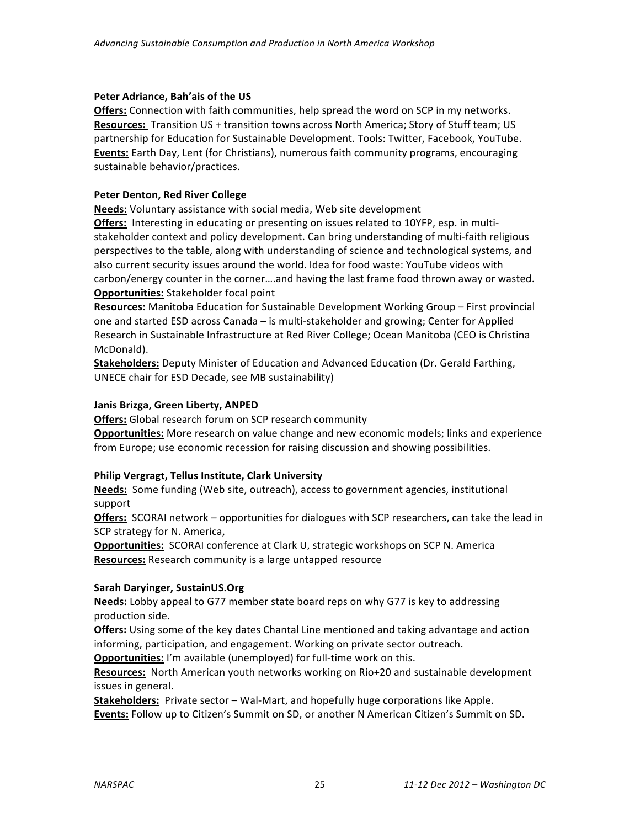## Peter Adriance, Bah'ais of the US

**Offers:** Connection with faith communities, help spread the word on SCP in my networks. **Resources:** Transition US + transition towns across North America; Story of Stuff team; US partnership for Education for Sustainable Development. Tools: Twitter, Facebook, YouTube. **Events:** Earth Day, Lent (for Christians), numerous faith community programs, encouraging sustainable behavior/practices.

## **Peter Denton, Red River College**

**Needs:** Voluntary assistance with social media, Web site development

**Offers:** Interesting in educating or presenting on issues related to 10YFP, esp. in multistakeholder context and policy development. Can bring understanding of multi-faith religious perspectives to the table, along with understanding of science and technological systems, and also current security issues around the world. Idea for food waste: YouTube videos with carbon/energy counter in the corner....and having the last frame food thrown away or wasted. **Opportunities:** Stakeholder focal point

**Resources:** Manitoba Education for Sustainable Development Working Group – First provincial one and started ESD across Canada - is multi-stakeholder and growing; Center for Applied Research in Sustainable Infrastructure at Red River College; Ocean Manitoba (CEO is Christina McDonald).

**Stakeholders:** Deputy Minister of Education and Advanced Education (Dr. Gerald Farthing, UNECE chair for ESD Decade, see MB sustainability)

## **Janis Brizga, Green Liberty, ANPED**

**Offers:** Global research forum on SCP research community

**Opportunities:** More research on value change and new economic models; links and experience from Europe; use economic recession for raising discussion and showing possibilities.

## **Philip Vergragt, Tellus Institute, Clark University**

**Needs:** Some funding (Web site, outreach), access to government agencies, institutional support

**Offers:** SCORAI network - opportunities for dialogues with SCP researchers, can take the lead in SCP strategy for N. America,

**Opportunities:** SCORAI conference at Clark U, strategic workshops on SCP N. America **Resources:** Research community is a large untapped resource

## **Sarah Daryinger, SustainUS.Org**

**Needs:** Lobby appeal to G77 member state board reps on why G77 is key to addressing production side.

**Offers:** Using some of the key dates Chantal Line mentioned and taking advantage and action informing, participation, and engagement. Working on private sector outreach.

**Opportunities:** I'm available (unemployed) for full-time work on this.

Resources: North American youth networks working on Rio+20 and sustainable development issues in general.

**Stakeholders:** Private sector - Wal-Mart, and hopefully huge corporations like Apple.

**Events:** Follow up to Citizen's Summit on SD, or another N American Citizen's Summit on SD.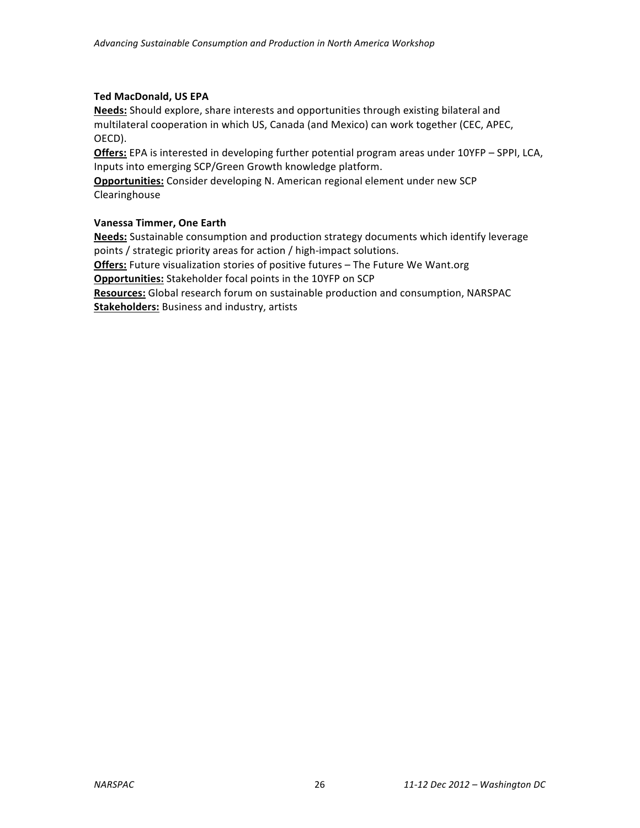## **Ted MacDonald, US EPA**

Needs: Should explore, share interests and opportunities through existing bilateral and multilateral cooperation in which US, Canada (and Mexico) can work together (CEC, APEC, OECD).

**Offers:** EPA is interested in developing further potential program areas under 10YFP – SPPI, LCA, Inputs into emerging SCP/Green Growth knowledge platform.

**Opportunities:** Consider developing N. American regional element under new SCP Clearinghouse

## **Vanessa Timmer, One Earth**

**Needs:** Sustainable consumption and production strategy documents which identify leverage points / strategic priority areas for action / high-impact solutions.

**Offers:** Future visualization stories of positive futures - The Future We Want.org **Opportunities:** Stakeholder focal points in the 10YFP on SCP

Resources: Global research forum on sustainable production and consumption, NARSPAC **Stakeholders:** Business and industry, artists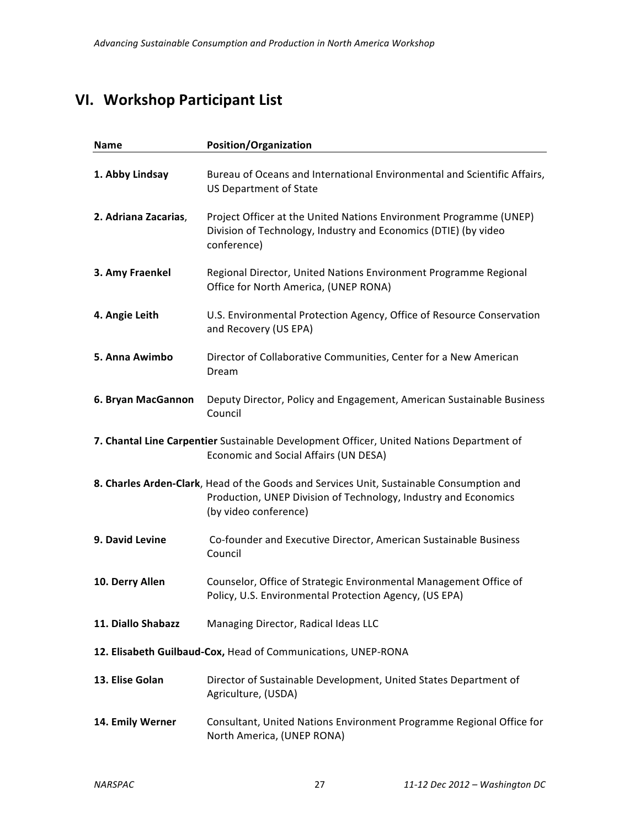## **VI. Workshop Participant List**

| <b>Name</b>                                                                                                                       | <b>Position/Organization</b>                                                                                                                                                         |  |  |
|-----------------------------------------------------------------------------------------------------------------------------------|--------------------------------------------------------------------------------------------------------------------------------------------------------------------------------------|--|--|
| 1. Abby Lindsay                                                                                                                   | Bureau of Oceans and International Environmental and Scientific Affairs,<br><b>US Department of State</b>                                                                            |  |  |
| 2. Adriana Zacarias,                                                                                                              | Project Officer at the United Nations Environment Programme (UNEP)<br>Division of Technology, Industry and Economics (DTIE) (by video<br>conference)                                 |  |  |
| 3. Amy Fraenkel                                                                                                                   | Regional Director, United Nations Environment Programme Regional<br>Office for North America, (UNEP RONA)                                                                            |  |  |
| 4. Angie Leith                                                                                                                    | U.S. Environmental Protection Agency, Office of Resource Conservation<br>and Recovery (US EPA)                                                                                       |  |  |
| 5. Anna Awimbo                                                                                                                    | Director of Collaborative Communities, Center for a New American<br>Dream                                                                                                            |  |  |
| 6. Bryan MacGannon                                                                                                                | Deputy Director, Policy and Engagement, American Sustainable Business<br>Council                                                                                                     |  |  |
| 7. Chantal Line Carpentier Sustainable Development Officer, United Nations Department of<br>Economic and Social Affairs (UN DESA) |                                                                                                                                                                                      |  |  |
|                                                                                                                                   | 8. Charles Arden-Clark, Head of the Goods and Services Unit, Sustainable Consumption and<br>Production, UNEP Division of Technology, Industry and Economics<br>(by video conference) |  |  |
| 9. David Levine                                                                                                                   | Co-founder and Executive Director, American Sustainable Business<br>Council                                                                                                          |  |  |
| 10. Derry Allen                                                                                                                   | Counselor, Office of Strategic Environmental Management Office of<br>Policy, U.S. Environmental Protection Agency, (US EPA)                                                          |  |  |
| 11. Diallo Shabazz                                                                                                                | Managing Director, Radical Ideas LLC                                                                                                                                                 |  |  |
|                                                                                                                                   | 12. Elisabeth Guilbaud-Cox, Head of Communications, UNEP-RONA                                                                                                                        |  |  |
| 13. Elise Golan                                                                                                                   | Director of Sustainable Development, United States Department of<br>Agriculture, (USDA)                                                                                              |  |  |
| 14. Emily Werner                                                                                                                  | Consultant, United Nations Environment Programme Regional Office for<br>North America, (UNEP RONA)                                                                                   |  |  |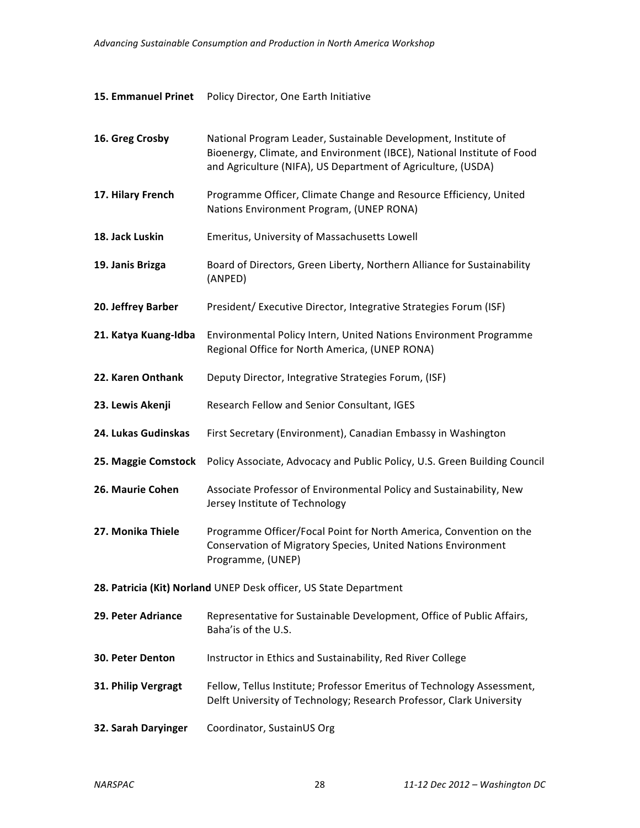## **15. Emmanuel Prinet** Policy Director, One Earth Initiative

| 16. Greg Crosby                                                   | National Program Leader, Sustainable Development, Institute of<br>Bioenergy, Climate, and Environment (IBCE), National Institute of Food<br>and Agriculture (NIFA), US Department of Agriculture, (USDA) |  |
|-------------------------------------------------------------------|----------------------------------------------------------------------------------------------------------------------------------------------------------------------------------------------------------|--|
| 17. Hilary French                                                 | Programme Officer, Climate Change and Resource Efficiency, United<br>Nations Environment Program, (UNEP RONA)                                                                                            |  |
| 18. Jack Luskin                                                   | Emeritus, University of Massachusetts Lowell                                                                                                                                                             |  |
| 19. Janis Brizga                                                  | Board of Directors, Green Liberty, Northern Alliance for Sustainability<br>(ANPED)                                                                                                                       |  |
| 20. Jeffrey Barber                                                | President/ Executive Director, Integrative Strategies Forum (ISF)                                                                                                                                        |  |
| 21. Katya Kuang-Idba                                              | Environmental Policy Intern, United Nations Environment Programme<br>Regional Office for North America, (UNEP RONA)                                                                                      |  |
| 22. Karen Onthank                                                 | Deputy Director, Integrative Strategies Forum, (ISF)                                                                                                                                                     |  |
| 23. Lewis Akenji                                                  | Research Fellow and Senior Consultant, IGES                                                                                                                                                              |  |
| 24. Lukas Gudinskas                                               | First Secretary (Environment), Canadian Embassy in Washington                                                                                                                                            |  |
| 25. Maggie Comstock                                               | Policy Associate, Advocacy and Public Policy, U.S. Green Building Council                                                                                                                                |  |
| 26. Maurie Cohen                                                  | Associate Professor of Environmental Policy and Sustainability, New<br>Jersey Institute of Technology                                                                                                    |  |
| 27. Monika Thiele                                                 | Programme Officer/Focal Point for North America, Convention on the<br>Conservation of Migratory Species, United Nations Environment<br>Programme, (UNEP)                                                 |  |
| 28. Patricia (Kit) Norland UNEP Desk officer, US State Department |                                                                                                                                                                                                          |  |
| 29. Peter Adriance                                                | Representative for Sustainable Development, Office of Public Affairs,<br>Baha'is of the U.S.                                                                                                             |  |
| <b>30. Peter Denton</b>                                           | Instructor in Ethics and Sustainability, Red River College                                                                                                                                               |  |
| 31. Philip Vergragt                                               | Fellow, Tellus Institute; Professor Emeritus of Technology Assessment,<br>Delft University of Technology; Research Professor, Clark University                                                           |  |
| 32. Sarah Daryinger                                               | Coordinator, SustainUS Org                                                                                                                                                                               |  |